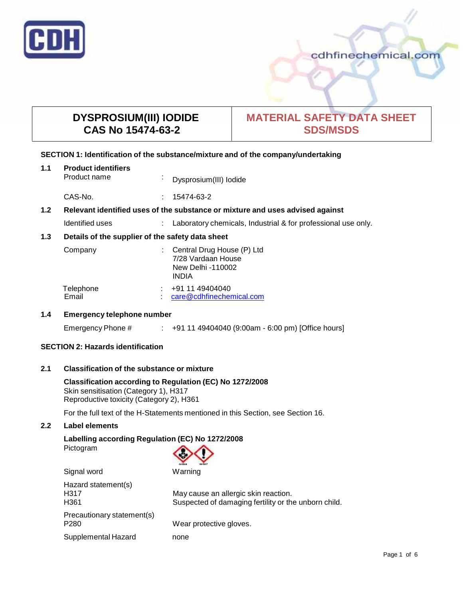

# **DYSPROSIUM(III) IODIDE CAS No 15474-63-2**

## **MATERIAL SAFETY DATA SHEET SDS/MSDS**

## **SECTION 1: Identification of the substance/mixture and of the company/undertaking**

| 1.1                                                     | <b>Product identifiers</b><br>Product name                                    | $\bullet$ | Dysprosium(III) lodide                                                                |
|---------------------------------------------------------|-------------------------------------------------------------------------------|-----------|---------------------------------------------------------------------------------------|
|                                                         | CAS-No.                                                                       |           | 15474-63-2                                                                            |
| 1.2                                                     | Relevant identified uses of the substance or mixture and uses advised against |           |                                                                                       |
|                                                         | Identified uses                                                               |           | Laboratory chemicals, Industrial & for professional use only.                         |
| 1.3<br>Details of the supplier of the safety data sheet |                                                                               |           |                                                                                       |
|                                                         | Company                                                                       |           | Central Drug House (P) Ltd<br>7/28 Vardaan House<br>New Delhi -110002<br><b>INDIA</b> |
|                                                         | Telephone<br>Email                                                            |           | +91 11 49404040<br>care@cdhfinechemical.com                                           |

## **1.4 Emergency telephone number**

Emergency Phone # : +91 11 49404040 (9:00am - 6:00 pm) [Office hours]

## **SECTION 2: Hazards identification**

#### **2.1 Classification of the substance ormixture**

**Classification according to Regulation (EC) No 1272/2008** Skin sensitisation (Category 1), H317 Reproductive toxicity (Category 2), H361

For the full text of the H-Statements mentioned in this Section, see Section 16.

## **2.2 Label elements**

## **Labelling according Regulation (EC) No 1272/2008** Pictogram



| Signal word                                     | Warning                                                                                      |
|-------------------------------------------------|----------------------------------------------------------------------------------------------|
| Hazard statement(s)<br>H317<br>H <sub>361</sub> | May cause an allergic skin reaction.<br>Suspected of damaging fertility or the unborn child. |
| Precautionary statement(s)<br>P <sub>280</sub>  | Wear protective gloves.                                                                      |
| Supplemental Hazard                             | none                                                                                         |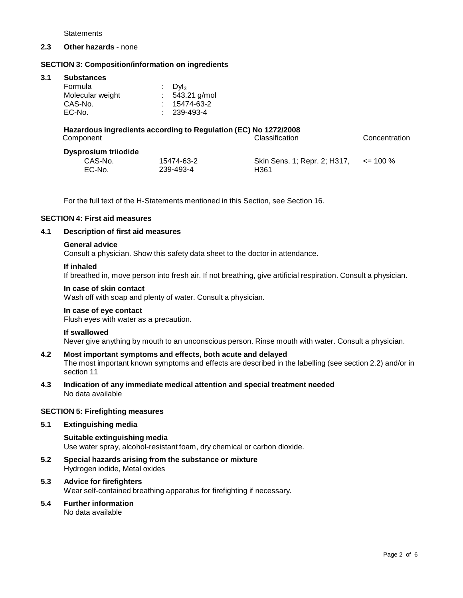**Statements** 

## **2.3 Other hazards** - none

## **SECTION 3: Composition/information on ingredients**

#### **3.1 Substances**

## **Hazardous ingredients according to Regulation (EC) No 1272/2008** Component Classification Concentration

## **Dysprosium triiodide**

| sprosium unouiue |            |                                            |  |
|------------------|------------|--------------------------------------------|--|
| CAS-No.          | 15474-63-2 | Skin Sens. 1; Repr. 2; H317, $\le$ = 100 % |  |
| EC-No.           | 239-493-4  | H <sub>361</sub>                           |  |

For the full text of the H-Statements mentioned in this Section, see Section 16.

## **SECTION 4: First aid measures**

## **4.1 Description of first aid measures**

#### **General advice**

Consult a physician. Show this safety data sheet to the doctor in attendance.

#### **If inhaled**

If breathed in, move person into fresh air. If not breathing, give artificial respiration. Consult a physician.

#### **In case of skin contact**

Wash off with soap and plenty of water. Consult a physician.

## **In case of eye contact**

Flush eyes with water as a precaution.

#### **If swallowed**

Never give anything by mouth to an unconscious person. Rinse mouth with water. Consult a physician.

## **4.2 Most important symptoms and effects, both acute and delayed**

The most important known symptoms and effects are described in the labelling (see section 2.2) and/or in section 11

#### **4.3 Indication of any immediate medical attention and special treatment needed** No data available

## **SECTION 5: Firefighting measures**

#### **5.1 Extinguishing media**

**Suitable extinguishing media** Use water spray, alcohol-resistant foam, dry chemical or carbon dioxide.

**5.2 Special hazards arising from the substance ormixture** Hydrogen iodide, Metal oxides

## **5.3 Advice for firefighters** Wear self-contained breathing apparatus for firefighting if necessary.

## **5.4 Further information**

No data available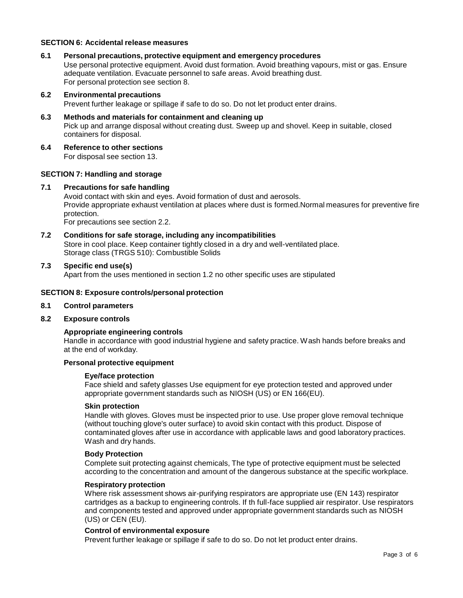## **SECTION 6: Accidental release measures**

**6.1 Personal precautions, protective equipment and emergency procedures**

Use personal protective equipment. Avoid dust formation. Avoid breathing vapours, mist or gas. Ensure adequate ventilation. Evacuate personnel to safe areas. Avoid breathing dust. For personal protection see section 8.

**6.2 Environmental precautions**

Prevent further leakage or spillage if safe to do so. Do not let product enter drains.

- **6.3 Methods and materials for containment and cleaning up** Pick up and arrange disposal without creating dust. Sweep up and shovel. Keep in suitable, closed containers for disposal.
- **6.4 Reference to other sections** For disposal see section 13.

## **SECTION 7: Handling and storage**

#### **7.1 Precautions for safe handling**

Avoid contact with skin and eyes. Avoid formation of dust and aerosols. Provide appropriate exhaust ventilation at places where dust is formed.Normal measures for preventive fire protection.

For precautions see section 2.2.

**7.2 Conditions for safe storage, including any incompatibilities** Store in cool place. Keep container tightly closed in a dry and well-ventilated place.

Storage class (TRGS 510): Combustible Solids

#### **7.3 Specific end use(s)**

Apart from the uses mentioned in section 1.2 no other specific uses are stipulated

#### **SECTION 8: Exposure controls/personal protection**

#### **8.1 Control parameters**

#### **8.2 Exposure controls**

#### **Appropriate engineering controls**

Handle in accordance with good industrial hygiene and safety practice. Wash hands before breaks and at the end of workday.

## **Personal protective equipment**

#### **Eye/face protection**

Face shield and safety glasses Use equipment for eye protection tested and approved under appropriate government standards such as NIOSH (US) or EN 166(EU).

## **Skin protection**

Handle with gloves. Gloves must be inspected prior to use. Use proper glove removal technique (without touching glove's outer surface) to avoid skin contact with this product. Dispose of contaminated gloves after use in accordance with applicable laws and good laboratory practices. Wash and dry hands.

#### **Body Protection**

Complete suit protecting against chemicals, The type of protective equipment must be selected according to the concentration and amount of the dangerous substance at the specific workplace.

#### **Respiratory protection**

Where risk assessment shows air-purifying respirators are appropriate use (EN 143) respirator cartridges as a backup to engineering controls. If th full-face supplied air respirator. Use respirators and components tested and approved under appropriate government standards such as NIOSH (US) or CEN (EU).

#### **Control of environmental exposure**

Prevent further leakage or spillage if safe to do so. Do not let product enter drains.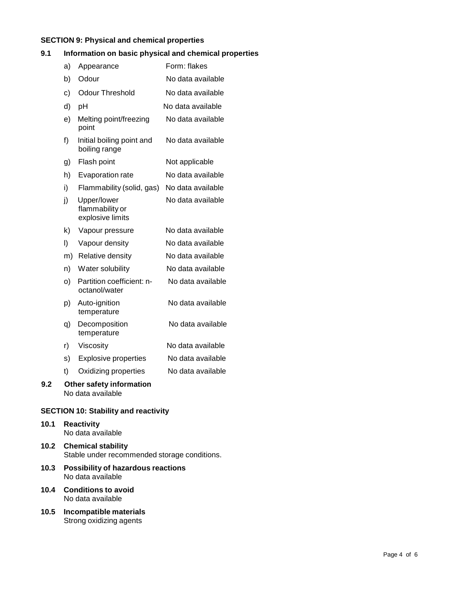## **SECTION 9: Physical and chemical properties**

## **9.1 Information on basic physical and chemical properties**

|     | a) | Appearance                                         | Form: flakes      |
|-----|----|----------------------------------------------------|-------------------|
|     | b) | Odour                                              | No data available |
|     | c) | <b>Odour Threshold</b>                             | No data available |
|     | d) | pH                                                 | No data available |
|     | e) | Melting point/freezing<br>point                    | No data available |
|     | f) | Initial boiling point and<br>boiling range         | No data available |
|     | g) | Flash point                                        | Not applicable    |
|     | h) | Evaporation rate                                   | No data available |
|     | i) | Flammability (solid, gas)                          | No data available |
|     | j) | Upper/lower<br>flammability or<br>explosive limits | No data available |
|     | k) | Vapour pressure                                    | No data available |
|     | I) | Vapour density                                     | No data available |
|     | m) | <b>Relative density</b>                            | No data available |
|     | n) | Water solubility                                   | No data available |
|     | O) | Partition coefficient: n-<br>octanol/water         | No data available |
|     | p) | Auto-ignition<br>temperature                       | No data available |
|     | q) | Decomposition<br>temperature                       | No data available |
|     | r) | Viscosity                                          | No data available |
|     | s) | <b>Explosive properties</b>                        | No data available |
|     | t) | Oxidizing properties                               | No data available |
| 9.2 |    | Other safety information<br>No data available      |                   |
|     |    | <b>CECTION 10. Crobility and roactivity</b>        |                   |

# **SECTION 10: Stability and reactivity**

## **10.1 Reactivity** No data available

- **10.2 Chemical stability** Stable under recommended storage conditions.
- **10.3 Possibility of hazardous reactions** No data available
- **10.4 Conditions to avoid** No data available
- **10.5 Incompatible materials** Strong oxidizing agents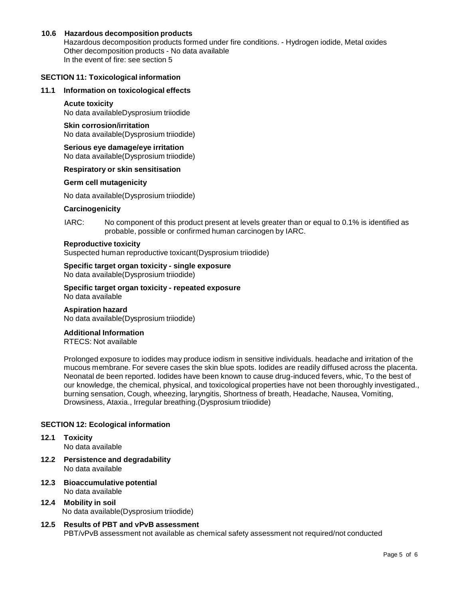## **10.6 Hazardous decomposition products**

Hazardous decomposition products formed under fire conditions. - Hydrogen iodide, Metal oxides Other decomposition products - No data available In the event of fire: see section 5

## **SECTION 11: Toxicological information**

## **11.1 Information on toxicological effects**

## **Acute toxicity**

No data availableDysprosium triiodide

## **Skin corrosion/irritation**

No data available(Dysprosium triiodide)

#### **Serious eye damage/eye irritation** No data available(Dysprosium triiodide)

## **Respiratory orskin sensitisation**

#### **Germ cell mutagenicity**

No data available(Dysprosium triiodide)

#### **Carcinogenicity**

IARC: No component of this product present at levels greater than or equal to 0.1% is identified as probable, possible or confirmed human carcinogen by IARC.

#### **Reproductive toxicity**

Suspected human reproductive toxicant(Dysprosium triiodide)

## **Specific target organ toxicity - single exposure** No data available(Dysprosium triiodide)

**Specific target organ toxicity - repeated exposure** No data available

# **Aspiration hazard**

## No data available(Dysprosium triiodide)

## **Additional Information**

RTECS: Not available

Prolonged exposure to iodides may produce iodism in sensitive individuals. headache and irritation of the mucous membrane. For severe cases the skin blue spots. Iodides are readily diffused across the placenta. Neonatal de been reported. Iodides have been known to cause drug-induced fevers, whic, To the best of our knowledge, the chemical, physical, and toxicological properties have not been thoroughly investigated., burning sensation, Cough, wheezing, laryngitis, Shortness of breath, Headache, Nausea, Vomiting, Drowsiness, Ataxia., Irregular breathing.(Dysprosium triiodide)

## **SECTION 12: Ecological information**

# **12.1 Toxicity**

No data available

- **12.2 Persistence and degradability** No data available
- **12.3 Bioaccumulative potential** No data available
- **12.4 Mobility in soil** No data available(Dysprosium triiodide)
- **12.5 Results of PBT and vPvB assessment** PBT/vPvB assessment not available as chemical safety assessment not required/not conducted